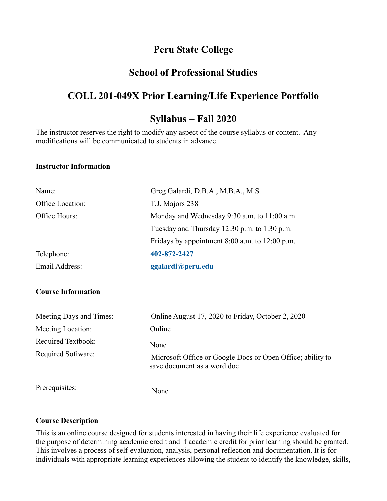## **Peru State College**

## **School of Professional Studies**

# **COLL 201-049X Prior Learning/Life Experience Portfolio**

## **Syllabus – Fall 2020**

The instructor reserves the right to modify any aspect of the course syllabus or content. Any modifications will be communicated to students in advance.

#### **Instructor Information**

| Name:            | Greg Galardi, D.B.A., M.B.A., M.S.                 |  |
|------------------|----------------------------------------------------|--|
| Office Location: | T.J. Majors 238                                    |  |
| Office Hours:    | Monday and Wednesday 9:30 a.m. to 11:00 a.m.       |  |
|                  | Tuesday and Thursday $12:30$ p.m. to $1:30$ p.m.   |  |
|                  | Fridays by appointment $8:00$ a.m. to $12:00$ p.m. |  |
| Telephone:       | 402-872-2427                                       |  |
| Email Address:   | ggalardi@peru.edu                                  |  |

#### **Course Information**

| Meeting Days and Times: | Online August 17, 2020 to Friday, October 2, 2020                                         |
|-------------------------|-------------------------------------------------------------------------------------------|
| Meeting Location:       | Online                                                                                    |
| Required Textbook:      | None                                                                                      |
| Required Software:      | Microsoft Office or Google Docs or Open Office; ability to<br>save document as a word.doc |
| Prerequisites:          | None                                                                                      |

#### **Course Description**

This is an online course designed for students interested in having their life experience evaluated for the purpose of determining academic credit and if academic credit for prior learning should be granted. This involves a process of self-evaluation, analysis, personal reflection and documentation. It is for individuals with appropriate learning experiences allowing the student to identify the knowledge, skills,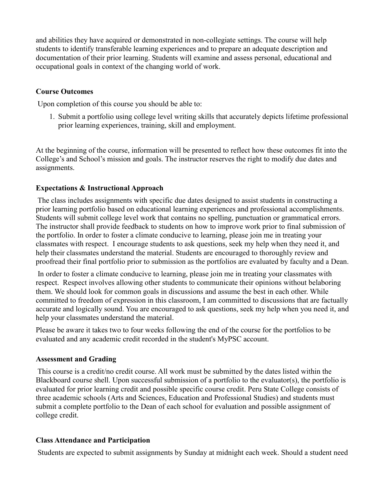and abilities they have acquired or demonstrated in non-collegiate settings. The course will help students to identify transferable learning experiences and to prepare an adequate description and documentation of their prior learning. Students will examine and assess personal, educational and occupational goals in context of the changing world of work.

### **Course Outcomes**

Upon completion of this course you should be able to:

1. Submit a portfolio using college level writing skills that accurately depicts lifetime professional prior learning experiences, training, skill and employment.

At the beginning of the course, information will be presented to reflect how these outcomes fit into the College's and School's mission and goals. The instructor reserves the right to modify due dates and assignments.

### **Expectations & Instructional Approach**

The class includes assignments with specific due dates designed to assist students in constructing a prior learning portfolio based on educational learning experiences and professional accomplishments. Students will submit college level work that contains no spelling, punctuation or grammatical errors. The instructor shall provide feedback to students on how to improve work prior to final submission of the portfolio. In order to foster a climate conducive to learning, please join me in treating your classmates with respect. I encourage students to ask questions, seek my help when they need it, and help their classmates understand the material. Students are encouraged to thoroughly review and proofread their final portfolio prior to submission as the portfolios are evaluated by faculty and a Dean.

In order to foster a climate conducive to learning, please join me in treating your classmates with respect. Respect involves allowing other students to communicate their opinions without belaboring them. We should look for common goals in discussions and assume the best in each other. While committed to freedom of expression in this classroom, I am committed to discussions that are factually accurate and logically sound. You are encouraged to ask questions, seek my help when you need it, and help your classmates understand the material.

Please be aware it takes two to four weeks following the end of the course for the portfolios to be evaluated and any academic credit recorded in the student's MyPSC account.

#### **Assessment and Grading**

This course is a credit/no credit course. All work must be submitted by the dates listed within the Blackboard course shell. Upon successful submission of a portfolio to the evaluator(s), the portfolio is evaluated for prior learning credit and possible specific course credit. Peru State College consists of three academic schools (Arts and Sciences, Education and Professional Studies) and students must submit a complete portfolio to the Dean of each school for evaluation and possible assignment of college credit.

#### **Class Attendance and Participation**

Students are expected to submit assignments by Sunday at midnight each week. Should a student need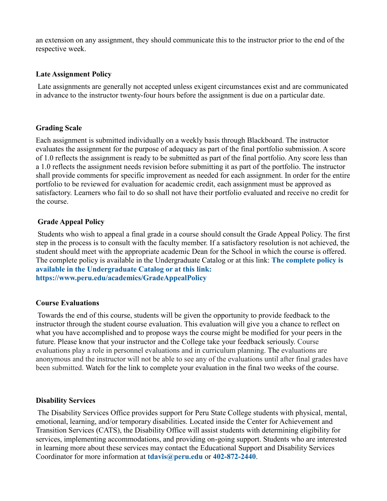an extension on any assignment, they should communicate this to the instructor prior to the end of the respective week.

#### **Late Assignment Policy**

Late assignments are generally not accepted unless exigent circumstances exist and are communicated in advance to the instructor twenty-four hours before the assignment is due on a particular date.

#### **Grading Scale**

Each assignment is submitted individually on a weekly basis through Blackboard. The instructor evaluates the assignment for the purpose of adequacy as part of the final portfolio submission. A score of 1.0 reflects the assignment is ready to be submitted as part of the final portfolio. Any score less than a 1.0 reflects the assignment needs revision before submitting it as part of the portfolio. The instructor shall provide comments for specific improvement as needed for each assignment. In order for the entire portfolio to be reviewed for evaluation for academic credit, each assignment must be approved as satisfactory. Learners who fail to do so shall not have their portfolio evaluated and receive no credit for the course.

#### **Grade Appeal Policy**

Students who wish to appeal a final grade in a course should consult the Grade Appeal Policy. The first step in the process is to consult with the faculty member. If a satisfactory resolution is not achieved, the student should meet with the appropriate academic Dean for the School in which the course is offered. The complete policy is available in the Undergraduate Catalog or at this link: **[The complete policy is](The complete policy is available in the Undergraduate Catalog or at this link: https://www.peru.edu/academics/GradeAppealPolicy)  [available in the Undergraduate Catalog or at this](The complete policy is available in the Undergraduate Catalog or at this link: https://www.peru.edu/academics/GradeAppealPolicy) link: [https://www.peru.edu/academics/GradeAppealPolicy](The complete policy is available in the Undergraduate Catalog or at this link: https://www.peru.edu/academics/GradeAppealPolicy)**

#### **Course Evaluations**

Towards the end of this course, students will be given the opportunity to provide feedback to the instructor through the student course evaluation. This evaluation will give you a chance to reflect on what you have accomplished and to propose ways the course might be modified for your peers in the future. Please know that your instructor and the College take your feedback seriously. Course evaluations play a role in personnel evaluations and in curriculum planning. The evaluations are anonymous and the instructor will not be able to see any of the evaluations until after final grades have been submitted. Watch for the link to complete your evaluation in the final two weeks of the course.

#### **Disability Services**

The Disability Services Office provides support for Peru State College students with physical, mental, emotional, learning, and/or temporary disabilities. Located inside the Center for Achievement and Transition Services (CATS), the Disability Office will assist students with determining eligibility for services, implementing accommodations, and providing on-going support. Students who are interested in learning more about these services may contact the Educational Support and Disability Services Coordinator for more information at **[tdavis@peru.edu](mailto:tdavis@peru.edu)** or **[402-872-2440](tel:402-872-2440)**.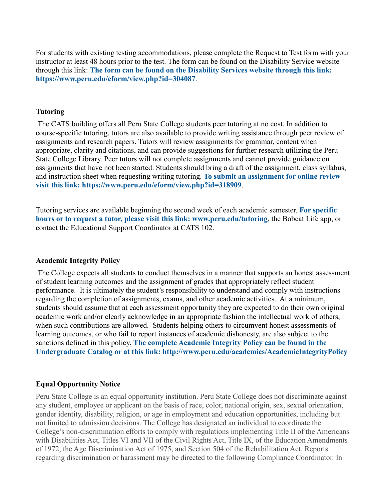For students with existing testing accommodations, please complete the Request to Test form with your instructor at least 48 hours prior to the test. The form can be found on the Disability Service website through this link: **[The form can be found on the Disability Services website through this link:](https://www.peru.edu/eform/view.php?id=304087)  <https://www.peru.edu/eform/view.php?id=304087>**.

#### **Tutoring**

The CATS building offers all Peru State College students peer tutoring at no cost. In addition to course-specific tutoring, tutors are also available to provide writing assistance through peer review of assignments and research papers. Tutors will review assignments for grammar, content when appropriate, clarity and citations, and can provide suggestions for further research utilizing the Peru State College Library. Peer tutors will not complete assignments and cannot provide guidance on assignments that have not been started. Students should bring a draft of the assignment, class syllabus, and instruction sheet when requesting writing tutoring. **[To submit an assignment for online review](https://www.peru.edu/eform/view.php?id=318909)  [visit this link:](https://www.peru.edu/eform/view.php?id=318909) <https://www.peru.edu/eform/view.php?id=318909>**.

Tutoring services are available beginning the second week of each academic semester. **[For specific](http://www.peru.edu/tutoring)  [hours or to request a tutor, please visit this link:](http://www.peru.edu/tutoring) [www.peru.edu/tutoring](http://www.peru.edu/tutoring)**, the Bobcat Life app, or contact the Educational Support Coordinator at CATS 102.

#### **Academic Integrity Policy**

The College expects all students to conduct themselves in a manner that supports an honest assessment of student learning outcomes and the assignment of grades that appropriately reflect student performance. It is ultimately the student's responsibility to understand and comply with instructions regarding the completion of assignments, exams, and other academic activities. At a minimum, students should assume that at each assessment opportunity they are expected to do their own original academic work and/or clearly acknowledge in an appropriate fashion the intellectual work of others, when such contributions are allowed. Students helping others to circumvent honest assessments of learning outcomes, or who fail to report instances of academic dishonesty, are also subject to the sanctions defined in this policy. **[The complete Academic Integrity Policy can be found in the](http://www.peru.edu/academics/AcademicIntegrityPolicy)  [Undergraduate Catalog or at this link:](http://www.peru.edu/academics/AcademicIntegrityPolicy) <http://www.peru.edu/academics/AcademicIntegrityPolicy>**

#### **Equal Opportunity Notice**

Peru State College is an equal opportunity institution. Peru State College does not discriminate against any student, employee or applicant on the basis of race, color, national origin, sex, sexual orientation, gender identity, disability, religion, or age in employment and education opportunities, including but not limited to admission decisions. The College has designated an individual to coordinate the College's non-discrimination efforts to comply with regulations implementing Title II of the Americans with Disabilities Act, Titles VI and VII of the Civil Rights Act, Title IX, of the Education Amendments of 1972, the Age Discrimination Act of 1975, and Section 504 of the Rehabilitation Act. Reports regarding discrimination or harassment may be directed to the following Compliance Coordinator. In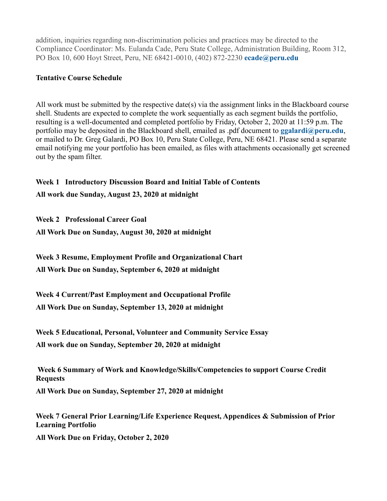addition, inquiries regarding non-discrimination policies and practices may be directed to the Compliance Coordinator: Ms. Eulanda Cade, Peru State College, Administration Building, Room 312, PO Box 10, 600 Hoyt Street, Peru, NE 68421-0010, (402) 872-2230 **[ecade@peru.edu](mailto:ecade@peru.edu)**

### **Tentative Course Schedule**

All work must be submitted by the respective date(s) via the assignment links in the Blackboard course shell. Students are expected to complete the work sequentially as each segment builds the portfolio, resulting is a well-documented and completed portfolio by Friday, October 2, 2020 at 11:59 p.m. The portfolio may be deposited in the Blackboard shell, emailed as .pdf document to **[ggalardi@peru.edu](mailto:ggalardi@peru.edu)**, or mailed to Dr. Greg Galardi, PO Box 10, Peru State College, Peru, NE 68421. Please send a separate email notifying me your portfolio has been emailed, as files with attachments occasionally get screened out by the spam filter.

### **Week 1 Introductory Discussion Board and Initial Table of Contents**

**All work due Sunday, August 23, 2020 at midnight**

**Week 2 Professional Career Goal**

**All Work Due on Sunday, August 30, 2020 at midnight**

**Week 3 Resume, Employment Profile and Organizational Chart**

**All Work Due on Sunday, September 6, 2020 at midnight**

**Week 4 Current/Past Employment and Occupational Profile** 

**All Work Due on Sunday, September 13, 2020 at midnight**

**Week 5 Educational, Personal, Volunteer and Community Service Essay All work due on Sunday, September 20, 2020 at midnight**

**Week 6 Summary of Work and Knowledge/Skills/Competencies to support Course Credit Requests All Work Due on Sunday, September 27, 2020 at midnight**

**Week 7 General Prior Learning/Life Experience Request, Appendices & Submission of Prior Learning Portfolio All Work Due on Friday, October 2, 2020**